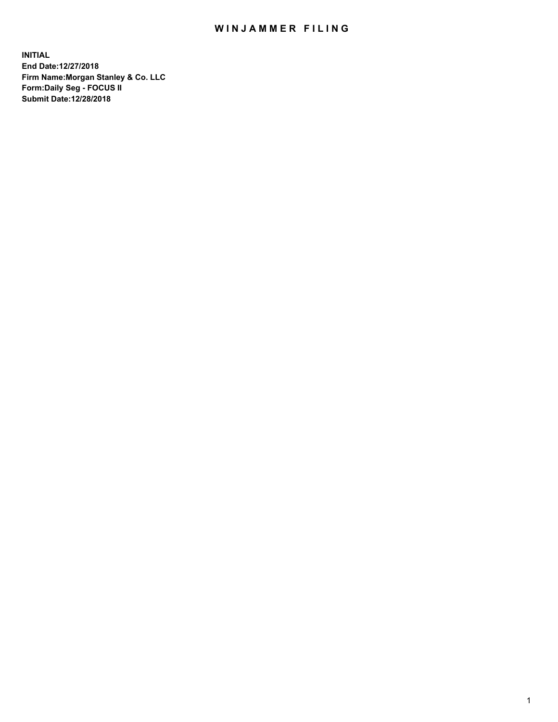## WIN JAMMER FILING

**INITIAL End Date:12/27/2018 Firm Name:Morgan Stanley & Co. LLC Form:Daily Seg - FOCUS II Submit Date:12/28/2018**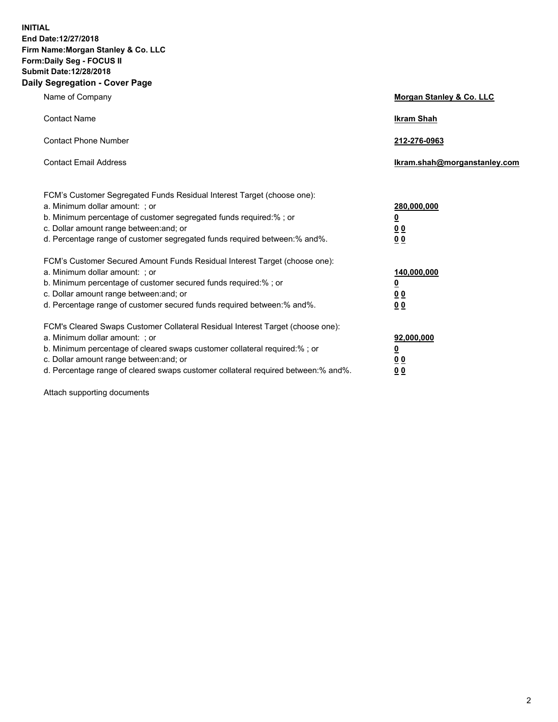**INITIAL End Date:12/27/2018 Firm Name:Morgan Stanley & Co. LLC Form:Daily Seg - FOCUS II Submit Date:12/28/2018 Daily Segregation - Cover Page**

| Name of Company                                                                                                                                                                                                                                                                                                                | Morgan Stanley & Co. LLC                               |
|--------------------------------------------------------------------------------------------------------------------------------------------------------------------------------------------------------------------------------------------------------------------------------------------------------------------------------|--------------------------------------------------------|
| <b>Contact Name</b>                                                                                                                                                                                                                                                                                                            | <b>Ikram Shah</b>                                      |
| <b>Contact Phone Number</b>                                                                                                                                                                                                                                                                                                    | 212-276-0963                                           |
| <b>Contact Email Address</b>                                                                                                                                                                                                                                                                                                   | lkram.shah@morganstanley.com                           |
| FCM's Customer Segregated Funds Residual Interest Target (choose one):<br>a. Minimum dollar amount: : or<br>b. Minimum percentage of customer segregated funds required:% ; or<br>c. Dollar amount range between: and; or<br>d. Percentage range of customer segregated funds required between:% and%.                         | 280,000,000<br><u>0</u><br>00<br>00                    |
| FCM's Customer Secured Amount Funds Residual Interest Target (choose one):<br>a. Minimum dollar amount: ; or<br>b. Minimum percentage of customer secured funds required:%; or<br>c. Dollar amount range between: and; or<br>d. Percentage range of customer secured funds required between:% and%.                            | 140,000,000<br><u>0</u><br><u>00</u><br>0 <sub>0</sub> |
| FCM's Cleared Swaps Customer Collateral Residual Interest Target (choose one):<br>a. Minimum dollar amount: ; or<br>b. Minimum percentage of cleared swaps customer collateral required:% ; or<br>c. Dollar amount range between: and; or<br>d. Percentage range of cleared swaps customer collateral required between:% and%. | 92,000,000<br><u>0</u><br><u>00</u><br>0 <sub>0</sub>  |

Attach supporting documents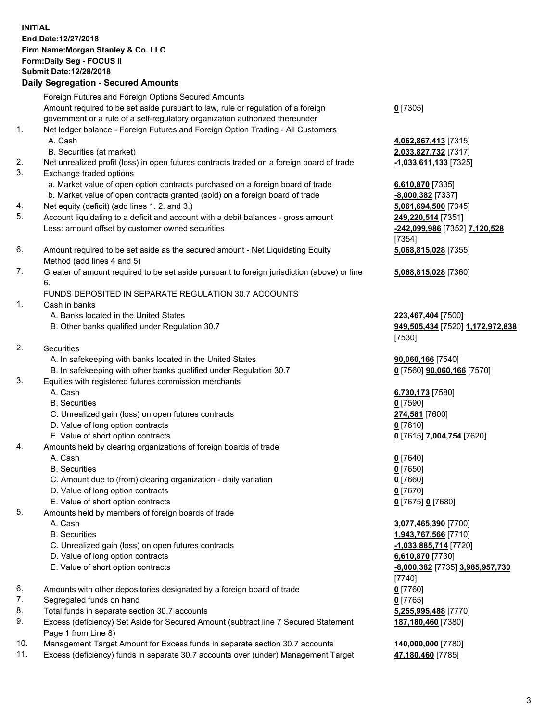## **INITIAL End Date:12/27/2018 Firm Name:Morgan Stanley & Co. LLC Form:Daily Seg - FOCUS II Submit Date:12/28/2018**

## **Daily Segregation - Secured Amounts**

Foreign Futures and Foreign Options Secured Amounts Amount required to be set aside pursuant to law, rule or regulation of a foreign government or a rule of a self-regulatory organization authorized thereunder

- 1. Net ledger balance Foreign Futures and Foreign Option Trading All Customers A. Cash **4,062,867,413** [7315]
	- B. Securities (at market) **2,033,827,732** [7317]
- 2. Net unrealized profit (loss) in open futures contracts traded on a foreign board of trade **-1,033,611,133** [7325]
- 3. Exchange traded options
	- a. Market value of open option contracts purchased on a foreign board of trade **6,610,870** [7335]
	- b. Market value of open contracts granted (sold) on a foreign board of trade **-8,000,382** [7337]
- 4. Net equity (deficit) (add lines 1. 2. and 3.) **5,061,694,500** [7345]
- 5. Account liquidating to a deficit and account with a debit balances gross amount **249,220,514** [7351] Less: amount offset by customer owned securities **-242,099,986** [7352] **7,120,528**
- 6. Amount required to be set aside as the secured amount Net Liquidating Equity Method (add lines 4 and 5)
- 7. Greater of amount required to be set aside pursuant to foreign jurisdiction (above) or line 6.

## FUNDS DEPOSITED IN SEPARATE REGULATION 30.7 ACCOUNTS

- 1. Cash in banks
	- A. Banks located in the United States **223,467,404** [7500]
	- B. Other banks qualified under Regulation 30.7 **949,505,434** [7520] **1,172,972,838**
- 2. Securities
	- A. In safekeeping with banks located in the United States **90,060,166** [7540]
	- B. In safekeeping with other banks qualified under Regulation 30.7 **0** [7560] **90,060,166** [7570]
- 3. Equities with registered futures commission merchants
	-
	- B. Securities **0** [7590]
	- C. Unrealized gain (loss) on open futures contracts **274,581** [7600]
	- D. Value of long option contracts **0** [7610]
- E. Value of short option contracts **0** [7615] **7,004,754** [7620]
- 4. Amounts held by clearing organizations of foreign boards of trade
	- A. Cash **0** [7640]
	- B. Securities **0** [7650]
	- C. Amount due to (from) clearing organization daily variation **0** [7660]
	- D. Value of long option contracts **0** [7670]
	- E. Value of short option contracts **0** [7675] **0** [7680]
- 5. Amounts held by members of foreign boards of trade
	-
	-
	- C. Unrealized gain (loss) on open futures contracts **-1,033,885,714** [7720]
	- D. Value of long option contracts **6,610,870** [7730]
	- E. Value of short option contracts **-8,000,382** [7735] **3,985,957,730**
- 6. Amounts with other depositories designated by a foreign board of trade **0** [7760]
- 7. Segregated funds on hand **0** [7765]
- 8. Total funds in separate section 30.7 accounts **5,255,995,488** [7770]
- 9. Excess (deficiency) Set Aside for Secured Amount (subtract line 7 Secured Statement Page 1 from Line 8)
- 10. Management Target Amount for Excess funds in separate section 30.7 accounts **140,000,000** [7780]
- 11. Excess (deficiency) funds in separate 30.7 accounts over (under) Management Target **47,180,460** [7785]

**0** [7305]

[7354] **5,068,815,028** [7355]

**5,068,815,028** [7360]

[7530]

A. Cash **6,730,173** [7580]

 A. Cash **3,077,465,390** [7700] B. Securities **1,943,767,566** [7710] [7740] **187,180,460** [7380]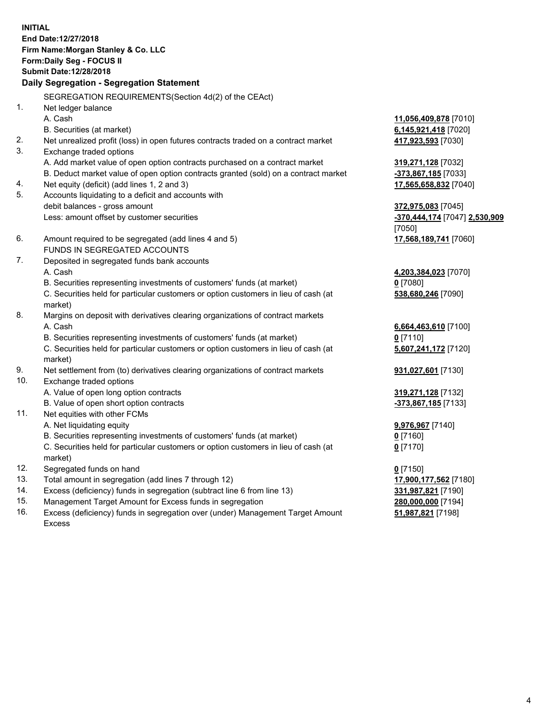**INITIAL End Date:12/27/2018 Firm Name:Morgan Stanley & Co. LLC Form:Daily Seg - FOCUS II Submit Date:12/28/2018 Daily Segregation - Segregation Statement** SEGREGATION REQUIREMENTS(Section 4d(2) of the CEAct) 1. Net ledger balance A. Cash **11,056,409,878** [7010] B. Securities (at market) **6,145,921,418** [7020] 2. Net unrealized profit (loss) in open futures contracts traded on a contract market **417,923,593** [7030] 3. Exchange traded options A. Add market value of open option contracts purchased on a contract market **319,271,128** [7032] B. Deduct market value of open option contracts granted (sold) on a contract market **-373,867,185** [7033] 4. Net equity (deficit) (add lines 1, 2 and 3) **17,565,658,832** [7040] 5. Accounts liquidating to a deficit and accounts with debit balances - gross amount **372,975,083** [7045] Less: amount offset by customer securities **-370,444,174** [7047] **2,530,909** [7050] 6. Amount required to be segregated (add lines 4 and 5) **17,568,189,741** [7060] FUNDS IN SEGREGATED ACCOUNTS 7. Deposited in segregated funds bank accounts A. Cash **4,203,384,023** [7070] B. Securities representing investments of customers' funds (at market) **0** [7080] C. Securities held for particular customers or option customers in lieu of cash (at market) **538,680,246** [7090] 8. Margins on deposit with derivatives clearing organizations of contract markets A. Cash **6,664,463,610** [7100] B. Securities representing investments of customers' funds (at market) **0** [7110] C. Securities held for particular customers or option customers in lieu of cash (at market) **5,607,241,172** [7120] 9. Net settlement from (to) derivatives clearing organizations of contract markets **931,027,601** [7130] 10. Exchange traded options A. Value of open long option contracts **319,271,128** [7132] B. Value of open short option contracts **-373,867,185** [7133] 11. Net equities with other FCMs A. Net liquidating equity **9,976,967** [7140] B. Securities representing investments of customers' funds (at market) **0** [7160] C. Securities held for particular customers or option customers in lieu of cash (at market) **0** [7170] 12. Segregated funds on hand **0** [7150] 13. Total amount in segregation (add lines 7 through 12) **17,900,177,562** [7180] 14. Excess (deficiency) funds in segregation (subtract line 6 from line 13) **331,987,821** [7190]

- 15. Management Target Amount for Excess funds in segregation **280,000,000** [7194]
- 16. Excess (deficiency) funds in segregation over (under) Management Target Amount Excess

**51,987,821** [7198]